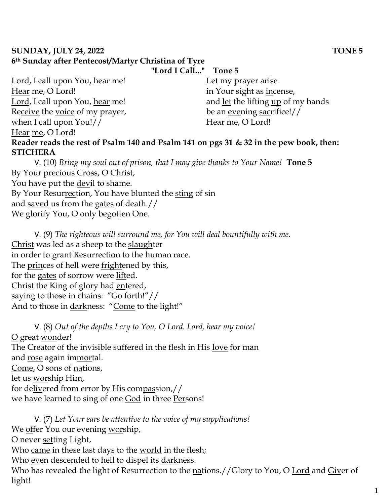## **SUNDAY, JULY 24, 2022 TONE 5 6th Sunday after Pentecost/Martyr Christina of Tyre**

**"Lord I Call..." Tone 5**

Lord, I call upon You, hear me! Hear me, O Lord! Lord, I call upon You, hear me! Receive the voice of my prayer, when I call upon You!// Hear me, O Lord! Let my prayer arise in Your sight as incense, and let the lifting up of my hands be an evening sacrifice!// Hear me, O Lord! **Reader reads the rest of Psalm 140 and Psalm 141 on pgs 31 & 32 in the pew book, then: STICHERA**

V. (10) *Bring my soul out of prison, that I may give thanks to Your Name!* **Tone 5** By Your precious Cross, O Christ, You have put the **devil** to shame. By Your Resurrection, You have blunted the sting of sin and saved us from the gates of death.// We glorify You, O only begotten One.

V. (9) *The righteous will surround me, for You will deal bountifully with me.*  Christ was led as a sheep to the slaughter in order to grant Resurrection to the human race. The princes of hell were frightened by this, for the gates of sorrow were lifted. Christ the King of glory had entered, saying to those in chains: "Go forth!"// And to those in darkness: "Come to the light!"

V. (8) *Out of the depths I cry to You, O Lord. Lord, hear my voice!*  O great wonder! The Creator of the invisible suffered in the flesh in His love for man and rose again immortal. Come, O sons of nations, let us worship Him, for delivered from error by His compassion,// we have learned to sing of one God in three Persons!

V. (7) *Let Your ears be attentive to the voice of my supplications!* We offer You our evening worship, O never setting Light, Who came in these last days to the world in the flesh; Who even descended to hell to dispel its darkness. Who has revealed the light of Resurrection to the nations.//Glory to You, O Lord and Giver of light!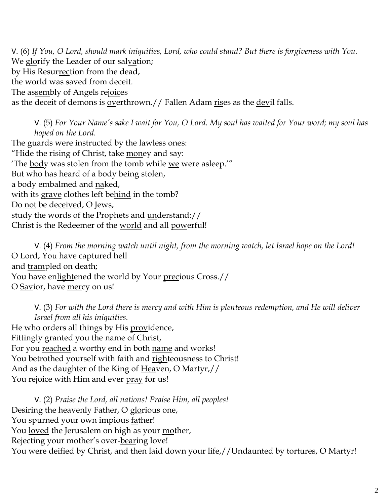V. (6) *If You, O Lord, should mark iniquities, Lord, who could stand? But there is forgiveness with You.*  We glorify the Leader of our salvation; by His Resurrection from the dead, the world was saved from deceit. The assembly of Angels rejoices as the deceit of demons is overthrown.// Fallen Adam rises as the devil falls.

V. (5) *For Your Name's sake I wait for You, O Lord. My soul has waited for Your word; my soul has hoped on the Lord.*  The guards were instructed by the lawless ones: "Hide the rising of Christ, take money and say: The body was stolen from the tomb while we were asleep." But who has heard of a body being stolen, a body embalmed and naked,

with its grave clothes left behind in the tomb?

Do not be deceived, O Jews,

study the words of the Prophets and understand://

Christ is the Redeemer of the world and all powerful!

V. (4) *From the morning watch until night, from the morning watch, let Israel hope on the Lord!*  O Lord, You have captured hell and trampled on death; You have enlightened the world by Your precious Cross.// O Savior, have mercy on us!

V. (3) *For with the Lord there is mercy and with Him is plenteous redemption, and He will deliver Israel from all his iniquities.* He who orders all things by His providence, Fittingly granted you the name of Christ, For you reached a worthy end in both name and works! You betrothed yourself with faith and righteousness to Christ! And as the daughter of the King of Heaven, O Martyr,// You rejoice with Him and ever pray for us!

V. (2) *Praise the Lord, all nations! Praise Him, all peoples!* Desiring the heavenly Father, O glorious one, You spurned your own impious father! You loved the Jerusalem on high as your mother, Rejecting your mother's over-bearing love! You were deified by Christ, and then laid down your life,//Undaunted by tortures, O Martyr!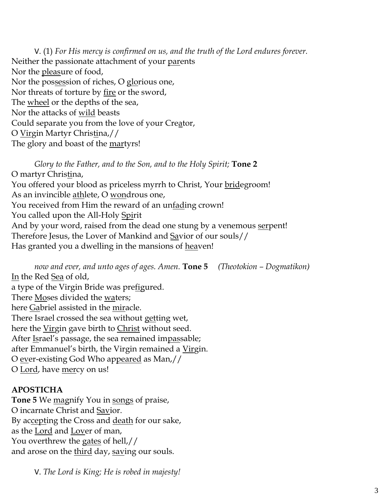V. (1) *For His mercy is confirmed on us, and the truth of the Lord endures forever.*  Neither the passionate attachment of your parents Nor the pleasure of food, Nor the possession of riches, O glorious one, Nor threats of torture by fire or the sword, The <u>wheel</u> or the depths of the sea, Nor the attacks of wild beasts Could separate you from the love of your Creator, O Virgin Martyr Christina,// The glory and boast of the martyrs!

*Glory to the Father, and to the Son, and to the Holy Spirit;* **Tone 2** O martyr Christina, You offered your blood as priceless myrrh to Christ, Your bridegroom! As an invincible athlete, O wondrous one, You received from Him the reward of an unfading crown! You called upon the All-Holy Spirit And by your word, raised from the dead one stung by a venemous serpent! Therefore Jesus, the Lover of Mankind and Savior of our souls// Has granted you a dwelling in the mansions of heaven!

*now and ever, and unto ages of ages. Amen.* **Tone 5** *(Theotokion – Dogmatikon)* In the Red Sea of old, a type of the Virgin Bride was prefigured. There Moses divided the waters; here Gabriel assisted in the miracle. There Israel crossed the sea without getting wet, here the Virgin gave birth to Christ without seed. After Israel's passage, the sea remained impassable; after Emmanuel's birth, the Virgin remained a <u>Virg</u>in. O <u>ev</u>er-existing God Who ap<u>peared</u> as Man,// O <u>Lord</u>, have <u>mer</u>cy on us!

## **APOSTICHA**

**Tone 5** We magnify You in songs of praise, O incarnate Christ and Savior. By accepting the Cross and death for our sake, as the Lord and Lover of man, You overthrew the gates of hell,// and arose on the third day, saving our souls.

V. *The Lord is King; He is robed in majesty!*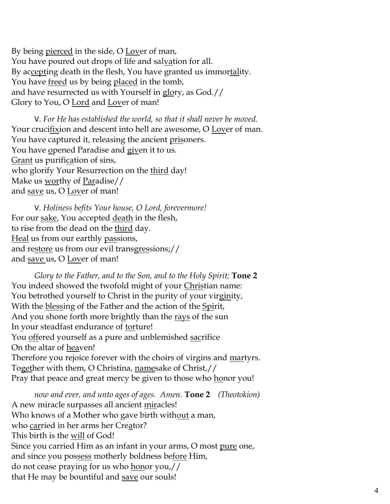By being <u>pierced</u> in the side, O <u>Lov</u>er of man, You have poured out drops of life and salvation for all. By accepting death in the flesh, You have granted us immortality. You have <u>freed</u> us by being placed in the tomb, and have resurrected us with Yourself in glory, as God.// Glory to You, O Lord and Lover of man!

V. *For He has established the world, so that it shall never be moved.* Your crucifixion and descent into hell are awesome, O Lover of man. You have captured it, releasing the ancient prisoners. You have <u>o</u>pened Paradise and g<u>iv</u>en it to us. Grant us purification of sins, who glorify Your Resurrection on the third day! Make us <u>worthy</u> of Paradise// and save us, O Lover of man!

V. *Holiness befits Your house, O Lord, forevermore!*  For our sake, You accepted death in the flesh, to rise from the dead on the third day. Heal us from our earthly passions, and restore us from our evil transgressions;// and save us, O Lover of man!

*Glory to the Father, and to the Son, and to the Holy Spirit;* **Tone 2** You indeed showed the twofold might of your Christian name: You betrothed yourself to Christ in the purity of your virginity, With the blessing of the Father and the action of the Spirit, And you shone forth more brightly than the <u>rays</u> of the sun In your steadfast endurance of torture! You offered yourself as a pure and unblemished sacrifice On the altar of heaven! Therefore you rejoice forever with the choirs of virgins and martyrs. Together with them, O Christina, namesake of Christ,// Pray that peace and great mercy be given to those who <u>ho</u>nor you!

*now and ever, and unto ages of ages. Amen.* **Tone 2** *(Theotokion)*  A new miracle surpasses all ancient miracles! Who knows of a Mother who gave birth without a man, who <u>car</u>ried in her arms her Cre<u>a</u>tor? This birth is the will of God! Since you carried Him as an infant in your arms*,* O most <u>pure</u> one*,* and since you pos<u>sess</u> motherly boldness be<u>fore</u> Him*,* do not cease praying for us who honor you,// that He may be bountiful and save our souls!